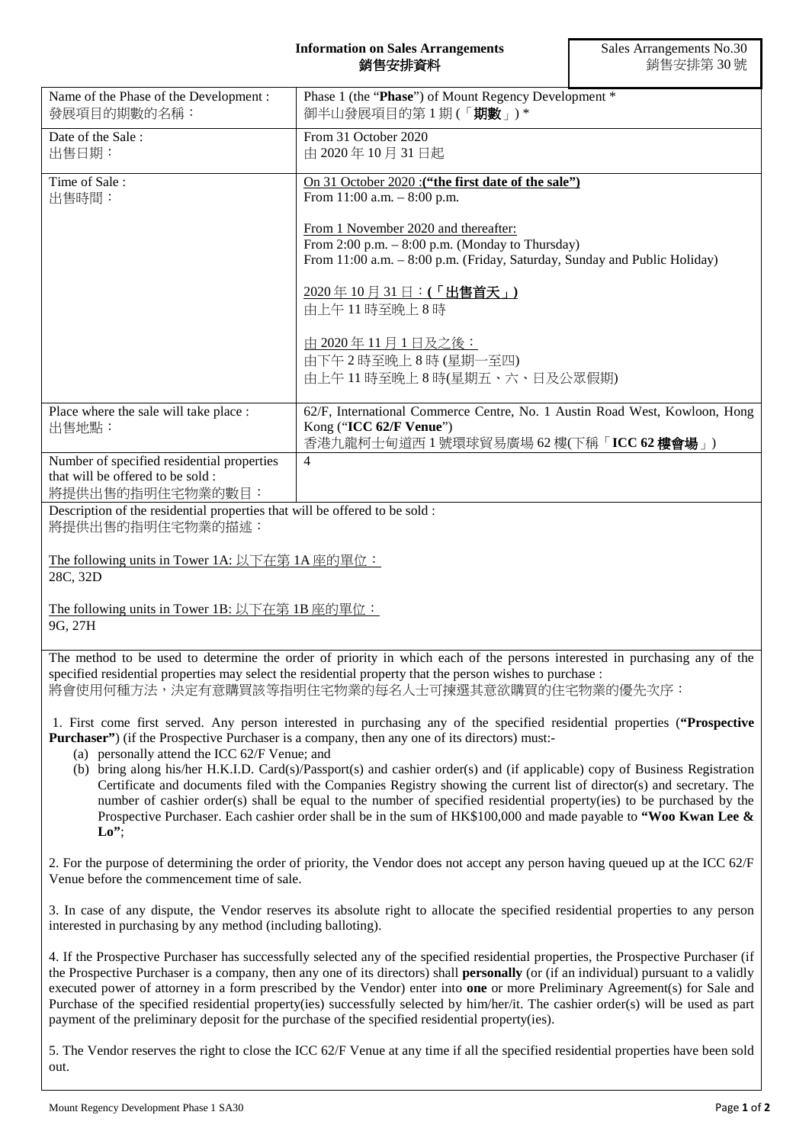## **Information on Sales Arrangements** 銷售安排資料

|                                                                                                     | <b>然 ロメガ 尺 们</b>                                                                                                                                                                                                                                                                                                                                                                                                                                                                                                                                         | ック □ メ リア୮ <i>イト <sup>→</sup></i> ♡ ック ↓ |
|-----------------------------------------------------------------------------------------------------|----------------------------------------------------------------------------------------------------------------------------------------------------------------------------------------------------------------------------------------------------------------------------------------------------------------------------------------------------------------------------------------------------------------------------------------------------------------------------------------------------------------------------------------------------------|------------------------------------------|
| Name of the Phase of the Development:<br>發展項目的期數的名稱:                                                | Phase 1 (the "Phase") of Mount Regency Development *<br>御半山發展項目的第1期(「期數」)*                                                                                                                                                                                                                                                                                                                                                                                                                                                                               |                                          |
| Date of the Sale:<br>出售日期:                                                                          | From 31 October 2020<br>由 2020年10月31日起                                                                                                                                                                                                                                                                                                                                                                                                                                                                                                                   |                                          |
| Time of Sale:<br>出售時間:                                                                              | On 31 October 2020 : ("the first date of the sale")<br>From $11:00$ a.m. $-8:00$ p.m.                                                                                                                                                                                                                                                                                                                                                                                                                                                                    |                                          |
|                                                                                                     | From 1 November 2020 and thereafter:<br>From $2:00$ p.m. $-8:00$ p.m. (Monday to Thursday)<br>From 11:00 a.m. - 8:00 p.m. (Friday, Saturday, Sunday and Public Holiday)                                                                                                                                                                                                                                                                                                                                                                                  |                                          |
|                                                                                                     | 2020年10月31日:(「出售首天」)<br>由上午11時至晚上8時                                                                                                                                                                                                                                                                                                                                                                                                                                                                                                                      |                                          |
|                                                                                                     | 由 2020年11月1日及之後:<br>由下午2時至晚上8時(星期一至四)<br>由上午11時至晚上8時(星期五、六、日及公眾假期)                                                                                                                                                                                                                                                                                                                                                                                                                                                                                       |                                          |
| Place where the sale will take place :<br>出售地點:                                                     | 62/F, International Commerce Centre, No. 1 Austin Road West, Kowloon, Hong<br>Kong ("ICC 62/F Venue")<br>香港九龍柯士甸道西1號環球貿易廣場 62樓(下稱「ICC 62樓會場」)                                                                                                                                                                                                                                                                                                                                                                                                            |                                          |
| Number of specified residential properties<br>that will be offered to be sold :<br>將提供出售的指明住宅物業的數目: | $\overline{4}$                                                                                                                                                                                                                                                                                                                                                                                                                                                                                                                                           |                                          |
| Description of the residential properties that will be offered to be sold :<br>將提供出售的指明住宅物業的描述:     |                                                                                                                                                                                                                                                                                                                                                                                                                                                                                                                                                          |                                          |
| The following units in Tower 1A: 以下在第 1A 座的單位:<br>28C, 32D                                          |                                                                                                                                                                                                                                                                                                                                                                                                                                                                                                                                                          |                                          |
| The following units in Tower 1B: 以下在第 1B 座的單位:<br>9G, 27H                                           |                                                                                                                                                                                                                                                                                                                                                                                                                                                                                                                                                          |                                          |
|                                                                                                     | The method to be used to determine the order of priority in which each of the persons interested in purchasing any of the<br>specified residential properties may select the residential property that the person wishes to purchase :<br>將會使用何種方法,決定有意購買該等指明住宅物業的每名人士可揀選其意欲購買的住宅物業的優先次序:                                                                                                                                                                                                                                                                |                                          |
| (a) personally attend the ICC 62/F Venue; and                                                       | 1. First come first served. Any person interested in purchasing any of the specified residential properties ("Prospective<br><b>Purchaser</b> ") (if the Prospective Purchaser is a company, then any one of its directors) must:-<br>(b) bring along his/her H.K.I.D. Card(s)/Passport(s) and cashier order(s) and (if applicable) copy of Business Registration                                                                                                                                                                                        |                                          |
| $\mathbf{L}\mathbf{o}$ ";                                                                           | Certificate and documents filed with the Companies Registry showing the current list of director(s) and secretary. The<br>number of cashier order(s) shall be equal to the number of specified residential property(ies) to be purchased by the<br>Prospective Purchaser. Each cashier order shall be in the sum of $HK$100,000$ and made payable to "Woo Kwan Lee &                                                                                                                                                                                     |                                          |
| Venue before the commencement time of sale.                                                         | 2. For the purpose of determining the order of priority, the Vendor does not accept any person having queued up at the ICC 62/F                                                                                                                                                                                                                                                                                                                                                                                                                          |                                          |
| interested in purchasing by any method (including balloting).                                       | 3. In case of any dispute, the Vendor reserves its absolute right to allocate the specified residential properties to any person                                                                                                                                                                                                                                                                                                                                                                                                                         |                                          |
|                                                                                                     | 4. If the Prospective Purchaser has successfully selected any of the specified residential properties, the Prospective Purchaser (if<br>the Prospective Purchaser is a company, then any one of its directors) shall <b>personally</b> (or (if an individual) pursuant to a validly<br>executed power of attorney in a form prescribed by the Vendor) enter into one or more Preliminary Agreement(s) for Sale and<br>Purchase of the specified residential property(ies) successfully selected by him/her/it. The cashier order(s) will be used as part |                                          |

5. The Vendor reserves the right to close the ICC 62/F Venue at any time if all the specified residential properties have been sold out.

payment of the preliminary deposit for the purchase of the specified residential property(ies).